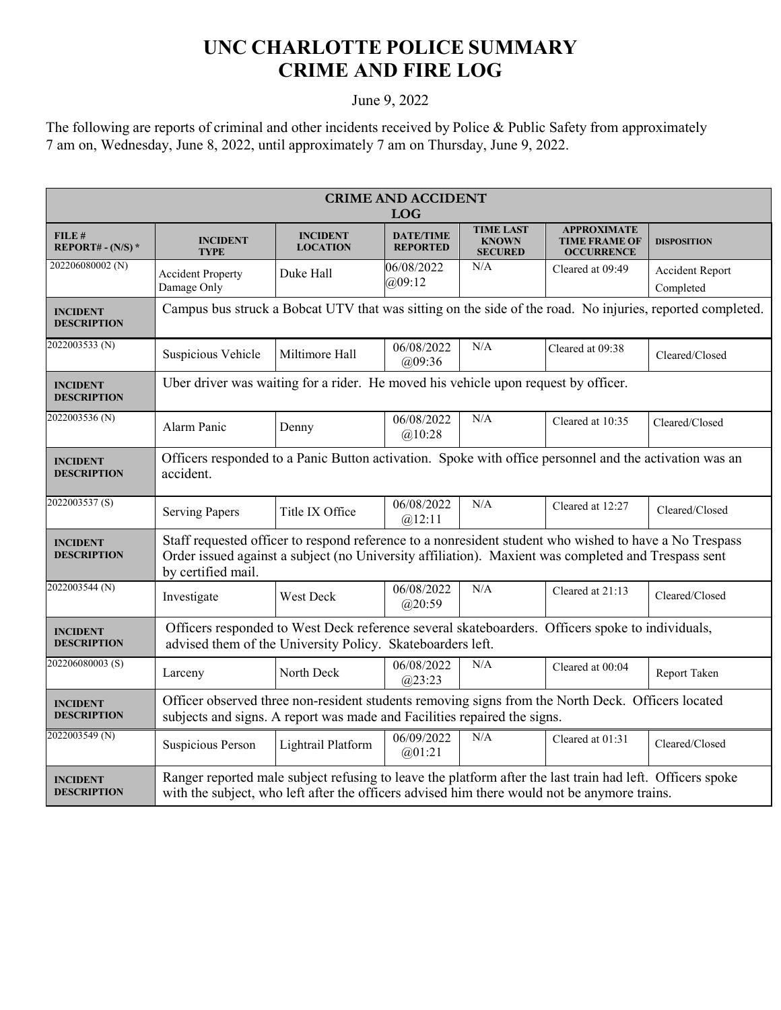## **UNC CHARLOTTE POLICE SUMMARY CRIME AND FIRE LOG**

## June 9, 2022

The following are reports of criminal and other incidents received by Police & Public Safety from approximately 7 am on, Wednesday, June 8, 2022, until approximately 7 am on Thursday, June 9, 2022.

| <b>CRIME AND ACCIDENT</b><br><b>LOG</b> |                                                                                                                                                                                                                                     |                                    |                                     |                                                    |                                                                 |                              |  |
|-----------------------------------------|-------------------------------------------------------------------------------------------------------------------------------------------------------------------------------------------------------------------------------------|------------------------------------|-------------------------------------|----------------------------------------------------|-----------------------------------------------------------------|------------------------------|--|
| FILE#<br>REPORT# - $(N/S)$ *            | <b>INCIDENT</b><br><b>TYPE</b>                                                                                                                                                                                                      | <b>INCIDENT</b><br><b>LOCATION</b> | <b>DATE/TIME</b><br><b>REPORTED</b> | <b>TIME LAST</b><br><b>KNOWN</b><br><b>SECURED</b> | <b>APPROXIMATE</b><br><b>TIME FRAME OF</b><br><b>OCCURRENCE</b> | <b>DISPOSITION</b>           |  |
| 202206080002 <sub>(N)</sub>             | <b>Accident Property</b><br>Damage Only                                                                                                                                                                                             | Duke Hall                          | 06/08/2022<br>(a)09:12              | N/A                                                | Cleared at 09:49                                                | Accident Report<br>Completed |  |
| <b>INCIDENT</b><br><b>DESCRIPTION</b>   | Campus bus struck a Bobcat UTV that was sitting on the side of the road. No injuries, reported completed.                                                                                                                           |                                    |                                     |                                                    |                                                                 |                              |  |
| 2022003533 (N)                          | Suspicious Vehicle                                                                                                                                                                                                                  | Miltimore Hall                     | 06/08/2022<br>@09:36                | N/A                                                | Cleared at 09:38                                                | Cleared/Closed               |  |
| <b>INCIDENT</b><br><b>DESCRIPTION</b>   | Uber driver was waiting for a rider. He moved his vehicle upon request by officer.                                                                                                                                                  |                                    |                                     |                                                    |                                                                 |                              |  |
| 2022003536 (N)                          | Alarm Panic                                                                                                                                                                                                                         | Denny                              | 06/08/2022<br>@10:28                | N/A                                                | Cleared at 10:35                                                | Cleared/Closed               |  |
| <b>INCIDENT</b><br><b>DESCRIPTION</b>   | Officers responded to a Panic Button activation. Spoke with office personnel and the activation was an<br>accident.                                                                                                                 |                                    |                                     |                                                    |                                                                 |                              |  |
| 2022003537(S)                           | <b>Serving Papers</b>                                                                                                                                                                                                               | Title IX Office                    | 06/08/2022<br>@12:11                | N/A                                                | Cleared at 12:27                                                | Cleared/Closed               |  |
| <b>INCIDENT</b><br><b>DESCRIPTION</b>   | Staff requested officer to respond reference to a nonresident student who wished to have a No Trespass<br>Order issued against a subject (no University affiliation). Maxient was completed and Trespass sent<br>by certified mail. |                                    |                                     |                                                    |                                                                 |                              |  |
| 2022003544 (N)                          | Investigate                                                                                                                                                                                                                         | West Deck                          | 06/08/2022<br>@20:59                | N/A                                                | Cleared at 21:13                                                | Cleared/Closed               |  |
| <b>INCIDENT</b><br><b>DESCRIPTION</b>   | Officers responded to West Deck reference several skateboarders. Officers spoke to individuals,<br>advised them of the University Policy. Skateboarders left.                                                                       |                                    |                                     |                                                    |                                                                 |                              |  |
| 202206080003(S)                         | Larceny                                                                                                                                                                                                                             | North Deck                         | 06/08/2022<br>(a)23:23              | N/A                                                | Cleared at 00:04                                                | Report Taken                 |  |
| <b>INCIDENT</b><br><b>DESCRIPTION</b>   | Officer observed three non-resident students removing signs from the North Deck. Officers located<br>subjects and signs. A report was made and Facilities repaired the signs.                                                       |                                    |                                     |                                                    |                                                                 |                              |  |
| 2022003549 (N)                          | Suspicious Person                                                                                                                                                                                                                   | Lightrail Platform                 | 06/09/2022<br>@01:21                | N/A                                                | Cleared at 01:31                                                | Cleared/Closed               |  |
| <b>INCIDENT</b><br><b>DESCRIPTION</b>   | Ranger reported male subject refusing to leave the platform after the last train had left. Officers spoke<br>with the subject, who left after the officers advised him there would not be anymore trains.                           |                                    |                                     |                                                    |                                                                 |                              |  |